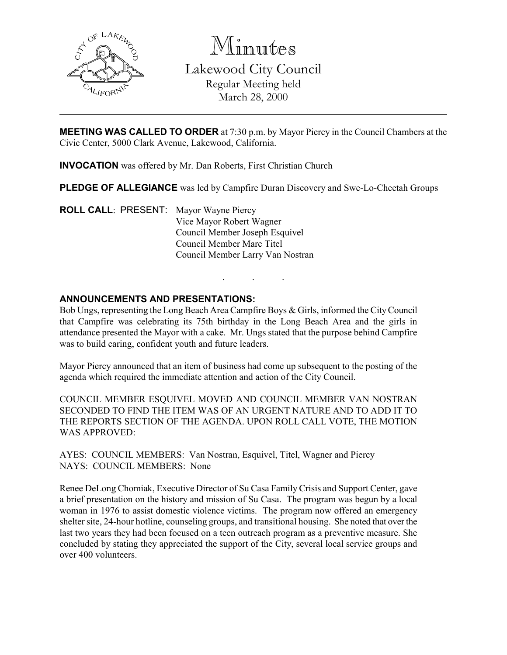

Minutes

Lakewood City Council Regular Meeting held March 28, 2000

**MEETING WAS CALLED TO ORDER** at 7:30 p.m. by Mayor Piercy in the Council Chambers at the Civic Center, 5000 Clark Avenue, Lakewood, California.

INVOCATION was offered by Mr. Dan Roberts, First Christian Church

PLEDGE OF ALLEGIANCE was led by Campfire Duran Discovery and Swe-Lo-Cheetah Groups

. . .

ROLL CALL: PRESENT: Mayor Wayne Piercy Vice Mayor Robert Wagner Council Member Joseph Esquivel Council Member Marc Titel Council Member Larry Van Nostran

# ANNOUNCEMENTS AND PRESENTATIONS:

Bob Ungs, representing the Long Beach Area Campfire Boys & Girls, informed the City Council that Campfire was celebrating its 75th birthday in the Long Beach Area and the girls in attendance presented the Mayor with a cake. Mr. Ungs stated that the purpose behind Campfire was to build caring, confident youth and future leaders.

Mayor Piercy announced that an item of business had come up subsequent to the posting of the agenda which required the immediate attention and action of the City Council.

COUNCIL MEMBER ESQUIVEL MOVED AND COUNCIL MEMBER VAN NOSTRAN SECONDED TO FIND THE ITEM WAS OF AN URGENT NATURE AND TO ADD IT TO THE REPORTS SECTION OF THE AGENDA. UPON ROLL CALL VOTE, THE MOTION WAS APPROVED:

AYES: COUNCIL MEMBERS: Van Nostran, Esquivel, Titel, Wagner and Piercy NAYS: COUNCIL MEMBERS: None

Renee DeLong Chomiak, Executive Director of Su Casa Family Crisis and Support Center, gave a brief presentation on the history and mission of Su Casa. The program was begun by a local woman in 1976 to assist domestic violence victims. The program now offered an emergency shelter site, 24-hour hotline, counseling groups, and transitional housing. She noted that over the last two years they had been focused on a teen outreach program as a preventive measure. She concluded by stating they appreciated the support of the City, several local service groups and over 400 volunteers.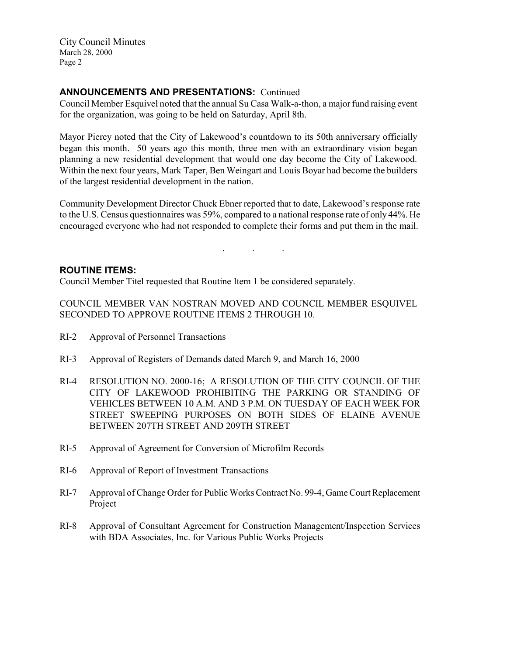City Council Minutes March 28, 2000 Page 2

# ANNOUNCEMENTS AND PRESENTATIONS: Continued

Council Member Esquivel noted that the annual Su Casa Walk-a-thon, a major fund raising event for the organization, was going to be held on Saturday, April 8th.

Mayor Piercy noted that the City of Lakewood's countdown to its 50th anniversary officially began this month. 50 years ago this month, three men with an extraordinary vision began planning a new residential development that would one day become the City of Lakewood. Within the next four years, Mark Taper, Ben Weingart and Louis Boyar had become the builders of the largest residential development in the nation.

Community Development Director Chuck Ebner reported that to date, Lakewood's response rate to the U.S. Census questionnaires was 59%, compared to a national response rate of only 44%. He encouraged everyone who had not responded to complete their forms and put them in the mail.

. . .

### ROUTINE ITEMS:

Council Member Titel requested that Routine Item 1 be considered separately.

COUNCIL MEMBER VAN NOSTRAN MOVED AND COUNCIL MEMBER ESQUIVEL SECONDED TO APPROVE ROUTINE ITEMS 2 THROUGH 10.

- RI-2 Approval of Personnel Transactions
- RI-3 Approval of Registers of Demands dated March 9, and March 16, 2000
- RI-4 RESOLUTION NO. 2000-16; A RESOLUTION OF THE CITY COUNCIL OF THE CITY OF LAKEWOOD PROHIBITING THE PARKING OR STANDING OF VEHICLES BETWEEN 10 A.M. AND 3 P.M. ON TUESDAY OF EACH WEEK FOR STREET SWEEPING PURPOSES ON BOTH SIDES OF ELAINE AVENUE BETWEEN 207TH STREET AND 209TH STREET
- RI-5 Approval of Agreement for Conversion of Microfilm Records
- RI-6 Approval of Report of Investment Transactions
- RI-7 Approval of Change Order for Public Works Contract No. 99-4, Game Court Replacement Project
- RI-8 Approval of Consultant Agreement for Construction Management/Inspection Services with BDA Associates, Inc. for Various Public Works Projects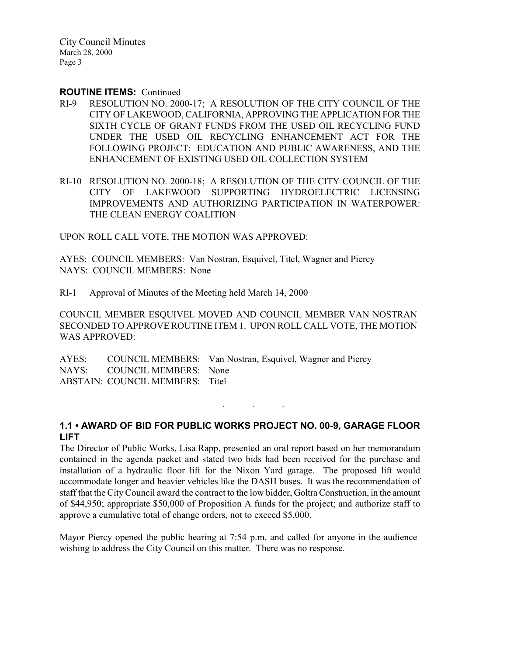City Council Minutes March 28, 2000 Page 3

#### ROUTINE ITEMS: Continued

- RI-9 RESOLUTION NO. 2000-17; A RESOLUTION OF THE CITY COUNCIL OF THE CITY OF LAKEWOOD, CALIFORNIA, APPROVING THE APPLICATION FOR THE SIXTH CYCLE OF GRANT FUNDS FROM THE USED OIL RECYCLING FUND UNDER THE USED OIL RECYCLING ENHANCEMENT ACT FOR THE FOLLOWING PROJECT: EDUCATION AND PUBLIC AWARENESS, AND THE ENHANCEMENT OF EXISTING USED OIL COLLECTION SYSTEM
- RI-10 RESOLUTION NO. 2000-18; A RESOLUTION OF THE CITY COUNCIL OF THE CITY OF LAKEWOOD SUPPORTING HYDROELECTRIC LICENSING IMPROVEMENTS AND AUTHORIZING PARTICIPATION IN WATERPOWER: THE CLEAN ENERGY COALITION

UPON ROLL CALL VOTE, THE MOTION WAS APPROVED:

AYES: COUNCIL MEMBERS: Van Nostran, Esquivel, Titel, Wagner and Piercy NAYS: COUNCIL MEMBERS: None

RI-1 Approval of Minutes of the Meeting held March 14, 2000

COUNCIL MEMBER ESQUIVEL MOVED AND COUNCIL MEMBER VAN NOSTRAN SECONDED TO APPROVE ROUTINE ITEM 1. UPON ROLL CALL VOTE, THE MOTION WAS APPROVED:

AYES: COUNCIL MEMBERS: Van Nostran, Esquivel, Wagner and Piercy NAYS: COUNCIL MEMBERS: None ABSTAIN: COUNCIL MEMBERS: Titel

# 1.1 • AWARD OF BID FOR PUBLIC WORKS PROJECT NO. 00-9, GARAGE FLOOR LIFT

. . .

The Director of Public Works, Lisa Rapp, presented an oral report based on her memorandum contained in the agenda packet and stated two bids had been received for the purchase and installation of a hydraulic floor lift for the Nixon Yard garage. The proposed lift would accommodate longer and heavier vehicles like the DASH buses. It was the recommendation of staff that the City Council award the contract to the low bidder, Goltra Construction, in the amount of \$44,950; appropriate \$50,000 of Proposition A funds for the project; and authorize staff to approve a cumulative total of change orders, not to exceed \$5,000.

Mayor Piercy opened the public hearing at 7:54 p.m. and called for anyone in the audience wishing to address the City Council on this matter. There was no response.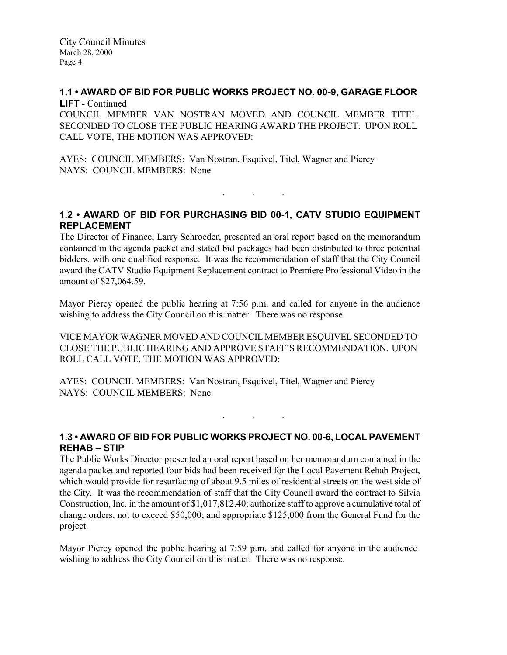#### 1.1 • AWARD OF BID FOR PUBLIC WORKS PROJECT NO. 00-9, GARAGE FLOOR LIFT - Continued

COUNCIL MEMBER VAN NOSTRAN MOVED AND COUNCIL MEMBER TITEL SECONDED TO CLOSE THE PUBLIC HEARING AWARD THE PROJECT. UPON ROLL CALL VOTE, THE MOTION WAS APPROVED:

AYES: COUNCIL MEMBERS: Van Nostran, Esquivel, Titel, Wagner and Piercy NAYS: COUNCIL MEMBERS: None

# 1.2 • AWARD OF BID FOR PURCHASING BID 00-1, CATV STUDIO EQUIPMENT REPLACEMENT

. . .

The Director of Finance, Larry Schroeder, presented an oral report based on the memorandum contained in the agenda packet and stated bid packages had been distributed to three potential bidders, with one qualified response. It was the recommendation of staff that the City Council award the CATV Studio Equipment Replacement contract to Premiere Professional Video in the amount of \$27,064.59.

Mayor Piercy opened the public hearing at 7:56 p.m. and called for anyone in the audience wishing to address the City Council on this matter. There was no response.

VICE MAYOR WAGNER MOVED AND COUNCIL MEMBER ESQUIVEL SECONDED TO CLOSE THE PUBLIC HEARING AND APPROVE STAFF'S RECOMMENDATION. UPON ROLL CALL VOTE, THE MOTION WAS APPROVED:

AYES: COUNCIL MEMBERS: Van Nostran, Esquivel, Titel, Wagner and Piercy NAYS: COUNCIL MEMBERS: None

# 1.3 • AWARD OF BID FOR PUBLIC WORKS PROJECT NO. 00-6, LOCAL PAVEMENT REHAB – STIP

. . .

The Public Works Director presented an oral report based on her memorandum contained in the agenda packet and reported four bids had been received for the Local Pavement Rehab Project, which would provide for resurfacing of about 9.5 miles of residential streets on the west side of the City. It was the recommendation of staff that the City Council award the contract to Silvia Construction, Inc. in the amount of \$1,017,812.40; authorize staff to approve a cumulative total of change orders, not to exceed \$50,000; and appropriate \$125,000 from the General Fund for the project.

Mayor Piercy opened the public hearing at 7:59 p.m. and called for anyone in the audience wishing to address the City Council on this matter. There was no response.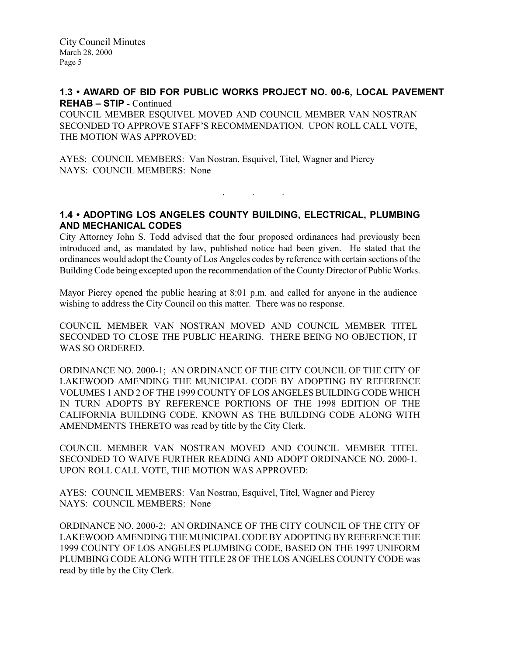## 1.3 • AWARD OF BID FOR PUBLIC WORKS PROJECT NO. 00-6, LOCAL PAVEMENT REHAB – STIP - Continued

COUNCIL MEMBER ESQUIVEL MOVED AND COUNCIL MEMBER VAN NOSTRAN SECONDED TO APPROVE STAFF'S RECOMMENDATION. UPON ROLL CALL VOTE, THE MOTION WAS APPROVED:

AYES: COUNCIL MEMBERS: Van Nostran, Esquivel, Titel, Wagner and Piercy NAYS: COUNCIL MEMBERS: None

## 1.4 • ADOPTING LOS ANGELES COUNTY BUILDING, ELECTRICAL, PLUMBING AND MECHANICAL CODES

. . .

City Attorney John S. Todd advised that the four proposed ordinances had previously been introduced and, as mandated by law, published notice had been given. He stated that the ordinances would adopt the County of Los Angeles codes by reference with certain sections of the Building Code being excepted upon the recommendation of the County Director of Public Works.

Mayor Piercy opened the public hearing at 8:01 p.m. and called for anyone in the audience wishing to address the City Council on this matter. There was no response.

COUNCIL MEMBER VAN NOSTRAN MOVED AND COUNCIL MEMBER TITEL SECONDED TO CLOSE THE PUBLIC HEARING. THERE BEING NO OBJECTION, IT WAS SO ORDERED.

ORDINANCE NO. 2000-1; AN ORDINANCE OF THE CITY COUNCIL OF THE CITY OF LAKEWOOD AMENDING THE MUNICIPAL CODE BY ADOPTING BY REFERENCE VOLUMES 1 AND 2 OF THE 1999 COUNTY OF LOS ANGELES BUILDING CODE WHICH IN TURN ADOPTS BY REFERENCE PORTIONS OF THE 1998 EDITION OF THE CALIFORNIA BUILDING CODE, KNOWN AS THE BUILDING CODE ALONG WITH AMENDMENTS THERETO was read by title by the City Clerk.

COUNCIL MEMBER VAN NOSTRAN MOVED AND COUNCIL MEMBER TITEL SECONDED TO WAIVE FURTHER READING AND ADOPT ORDINANCE NO. 2000-1. UPON ROLL CALL VOTE, THE MOTION WAS APPROVED:

AYES: COUNCIL MEMBERS: Van Nostran, Esquivel, Titel, Wagner and Piercy NAYS: COUNCIL MEMBERS: None

ORDINANCE NO. 2000-2; AN ORDINANCE OF THE CITY COUNCIL OF THE CITY OF LAKEWOOD AMENDING THE MUNICIPAL CODE BY ADOPTING BY REFERENCE THE 1999 COUNTY OF LOS ANGELES PLUMBING CODE, BASED ON THE 1997 UNIFORM PLUMBING CODE ALONG WITH TITLE 28 OF THE LOS ANGELES COUNTY CODE was read by title by the City Clerk.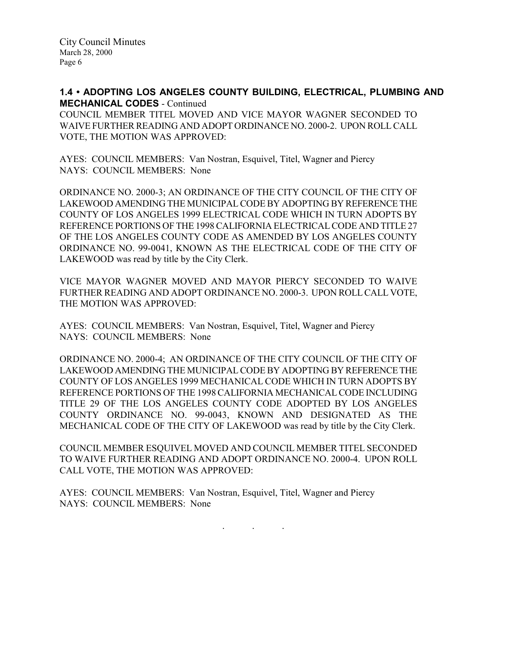### 1.4 • ADOPTING LOS ANGELES COUNTY BUILDING, ELECTRICAL, PLUMBING AND MECHANICAL CODES - Continued

COUNCIL MEMBER TITEL MOVED AND VICE MAYOR WAGNER SECONDED TO WAIVE FURTHER READING AND ADOPT ORDINANCE NO. 2000-2. UPON ROLL CALL VOTE, THE MOTION WAS APPROVED:

AYES: COUNCIL MEMBERS: Van Nostran, Esquivel, Titel, Wagner and Piercy NAYS: COUNCIL MEMBERS: None

ORDINANCE NO. 2000-3; AN ORDINANCE OF THE CITY COUNCIL OF THE CITY OF LAKEWOOD AMENDING THE MUNICIPAL CODE BY ADOPTING BY REFERENCE THE COUNTY OF LOS ANGELES 1999 ELECTRICAL CODE WHICH IN TURN ADOPTS BY REFERENCE PORTIONS OF THE 1998 CALIFORNIA ELECTRICAL CODE AND TITLE 27 OF THE LOS ANGELES COUNTY CODE AS AMENDED BY LOS ANGELES COUNTY ORDINANCE NO. 99-0041, KNOWN AS THE ELECTRICAL CODE OF THE CITY OF LAKEWOOD was read by title by the City Clerk.

VICE MAYOR WAGNER MOVED AND MAYOR PIERCY SECONDED TO WAIVE FURTHER READING AND ADOPT ORDINANCE NO. 2000-3. UPON ROLL CALL VOTE, THE MOTION WAS APPROVED:

AYES: COUNCIL MEMBERS: Van Nostran, Esquivel, Titel, Wagner and Piercy NAYS: COUNCIL MEMBERS: None

ORDINANCE NO. 2000-4; AN ORDINANCE OF THE CITY COUNCIL OF THE CITY OF LAKEWOOD AMENDING THE MUNICIPAL CODE BY ADOPTING BY REFERENCE THE COUNTY OF LOS ANGELES 1999 MECHANICAL CODE WHICH IN TURN ADOPTS BY REFERENCE PORTIONS OF THE 1998 CALIFORNIA MECHANICAL CODE INCLUDING TITLE 29 OF THE LOS ANGELES COUNTY CODE ADOPTED BY LOS ANGELES COUNTY ORDINANCE NO. 99-0043, KNOWN AND DESIGNATED AS THE MECHANICAL CODE OF THE CITY OF LAKEWOOD was read by title by the City Clerk.

COUNCIL MEMBER ESQUIVEL MOVED AND COUNCIL MEMBER TITEL SECONDED TO WAIVE FURTHER READING AND ADOPT ORDINANCE NO. 2000-4. UPON ROLL CALL VOTE, THE MOTION WAS APPROVED:

AYES: COUNCIL MEMBERS: Van Nostran, Esquivel, Titel, Wagner and Piercy NAYS: COUNCIL MEMBERS: None

. . .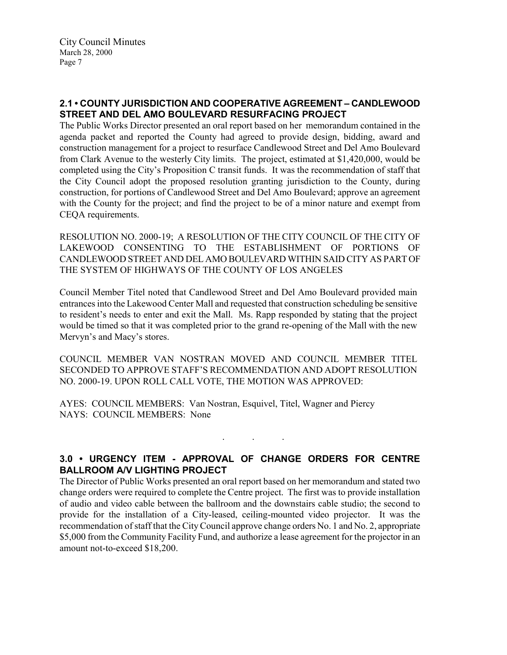# 2.1 • COUNTY JURISDICTION AND COOPERATIVE AGREEMENT – CANDLEWOOD STREET AND DEL AMO BOULEVARD RESURFACING PROJECT

The Public Works Director presented an oral report based on her memorandum contained in the agenda packet and reported the County had agreed to provide design, bidding, award and construction management for a project to resurface Candlewood Street and Del Amo Boulevard from Clark Avenue to the westerly City limits. The project, estimated at \$1,420,000, would be completed using the City's Proposition C transit funds. It was the recommendation of staff that the City Council adopt the proposed resolution granting jurisdiction to the County, during construction, for portions of Candlewood Street and Del Amo Boulevard; approve an agreement with the County for the project; and find the project to be of a minor nature and exempt from CEQA requirements.

RESOLUTION NO. 2000-19; A RESOLUTION OF THE CITY COUNCIL OF THE CITY OF LAKEWOOD CONSENTING TO THE ESTABLISHMENT OF PORTIONS OF CANDLEWOOD STREET AND DEL AMO BOULEVARD WITHIN SAID CITY AS PART OF THE SYSTEM OF HIGHWAYS OF THE COUNTY OF LOS ANGELES

Council Member Titel noted that Candlewood Street and Del Amo Boulevard provided main entrances into the Lakewood Center Mall and requested that construction scheduling be sensitive to resident's needs to enter and exit the Mall. Ms. Rapp responded by stating that the project would be timed so that it was completed prior to the grand re-opening of the Mall with the new Mervyn's and Macy's stores.

COUNCIL MEMBER VAN NOSTRAN MOVED AND COUNCIL MEMBER TITEL SECONDED TO APPROVE STAFF'S RECOMMENDATION AND ADOPT RESOLUTION NO. 2000-19. UPON ROLL CALL VOTE, THE MOTION WAS APPROVED:

AYES: COUNCIL MEMBERS: Van Nostran, Esquivel, Titel, Wagner and Piercy NAYS: COUNCIL MEMBERS: None

# 3.0 • URGENCY ITEM - APPROVAL OF CHANGE ORDERS FOR CENTRE BALLROOM A/V LIGHTING PROJECT

. . .

The Director of Public Works presented an oral report based on her memorandum and stated two change orders were required to complete the Centre project. The first was to provide installation of audio and video cable between the ballroom and the downstairs cable studio; the second to provide for the installation of a City-leased, ceiling-mounted video projector. It was the recommendation of staff that the City Council approve change orders No. 1 and No. 2, appropriate \$5,000 from the Community Facility Fund, and authorize a lease agreement for the projector in an amount not-to-exceed \$18,200.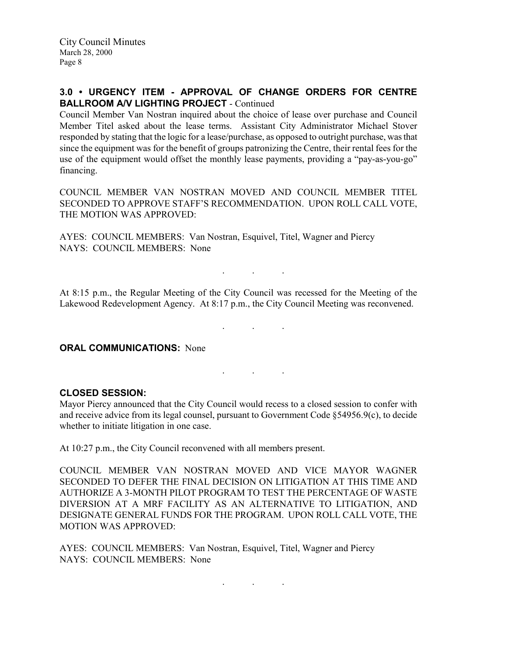# 3.0 • URGENCY ITEM - APPROVAL OF CHANGE ORDERS FOR CENTRE BALLROOM A/V LIGHTING PROJECT - Continued

Council Member Van Nostran inquired about the choice of lease over purchase and Council Member Titel asked about the lease terms. Assistant City Administrator Michael Stover responded by stating that the logic for a lease/purchase, as opposed to outright purchase, was that since the equipment was for the benefit of groups patronizing the Centre, their rental fees for the use of the equipment would offset the monthly lease payments, providing a "pay-as-you-go" financing.

COUNCIL MEMBER VAN NOSTRAN MOVED AND COUNCIL MEMBER TITEL SECONDED TO APPROVE STAFF'S RECOMMENDATION. UPON ROLL CALL VOTE, THE MOTION WAS APPROVED:

AYES: COUNCIL MEMBERS: Van Nostran, Esquivel, Titel, Wagner and Piercy NAYS: COUNCIL MEMBERS: None

At 8:15 p.m., the Regular Meeting of the City Council was recessed for the Meeting of the Lakewood Redevelopment Agency. At 8:17 p.m., the City Council Meeting was reconvened.

. . .

. The set of the set of the set of  $\mathcal{A}$ 

. . .

**ORAL COMMUNICATIONS: None** 

#### CLOSED SESSION:

Mayor Piercy announced that the City Council would recess to a closed session to confer with and receive advice from its legal counsel, pursuant to Government Code §54956.9(c), to decide whether to initiate litigation in one case.

At 10:27 p.m., the City Council reconvened with all members present.

COUNCIL MEMBER VAN NOSTRAN MOVED AND VICE MAYOR WAGNER SECONDED TO DEFER THE FINAL DECISION ON LITIGATION AT THIS TIME AND AUTHORIZE A 3-MONTH PILOT PROGRAM TO TEST THE PERCENTAGE OF WASTE DIVERSION AT A MRF FACILITY AS AN ALTERNATIVE TO LITIGATION, AND DESIGNATE GENERAL FUNDS FOR THE PROGRAM. UPON ROLL CALL VOTE, THE MOTION WAS APPROVED:

AYES: COUNCIL MEMBERS: Van Nostran, Esquivel, Titel, Wagner and Piercy NAYS: COUNCIL MEMBERS: None

. . .